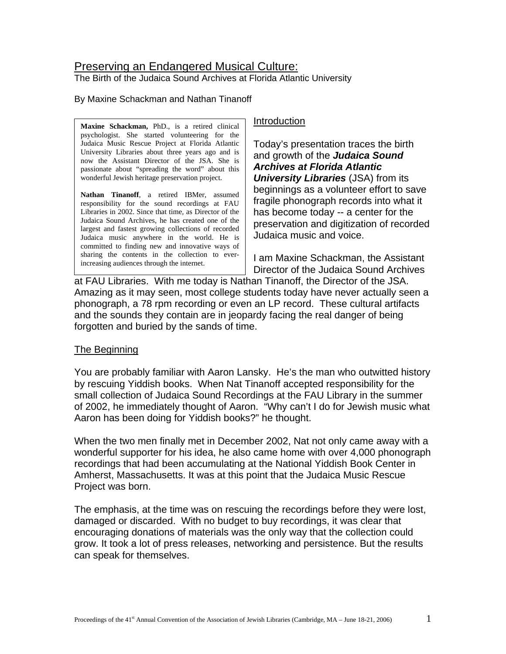# Preserving an Endangered Musical Culture:

The Birth of the Judaica Sound Archives at Florida Atlantic University

## By Maxine Schackman and Nathan Tinanoff

**Maxine Schackman, PhD., is a retired clinical Introduction** psychologist. She started volunteering for the Judaica Music Rescue Project at Florida Atlantic University Libraries about three years ago and is now the Assistant Director of the JSA. She is passionate about "spreading the word" about this wonderful Jewish heritage preservation project.

**Nathan Tinanoff**, a retired IBMer, assumed responsibility for the sound recordings at FAU Libraries in 2002. Since that time, as Director of the Judaica Sound Archives, he has created one of the largest and fastest growing collections of recorded Judaica music anywhere in the world. He is committed to finding new and innovative ways of sharing the contents in the collection to everincreasing audiences through the internet.

Today's presentation traces the birth and growth of the *Judaica Sound Archives at Florida Atlantic University Libraries* (JSA) from its beginnings as a volunteer effort to save fragile phonograph records into what it has become today -- a center for the preservation and digitization of recorded Judaica music and voice.

I am Maxine Schackman, the Assistant Director of the Judaica Sound Archives

at FAU Libraries. With me today is Nathan Tinanoff, the Director of the JSA. Amazing as it may seen, most college students today have never actually seen a phonograph, a 78 rpm recording or even an LP record. These cultural artifacts and the sounds they contain are in jeopardy facing the real danger of being forgotten and buried by the sands of time.

## The Beginning

You are probably familiar with Aaron Lansky. He's the man who outwitted history by rescuing Yiddish books. When Nat Tinanoff accepted responsibility for the small collection of Judaica Sound Recordings at the FAU Library in the summer of 2002, he immediately thought of Aaron. "Why can't I do for Jewish music what Aaron has been doing for Yiddish books?" he thought.

When the two men finally met in December 2002, Nat not only came away with a wonderful supporter for his idea, he also came home with over 4,000 phonograph recordings that had been accumulating at the National Yiddish Book Center in Amherst, Massachusetts. It was at this point that the Judaica Music Rescue Project was born.

The emphasis, at the time was on rescuing the recordings before they were lost, damaged or discarded. With no budget to buy recordings, it was clear that encouraging donations of materials was the only way that the collection could grow. It took a lot of press releases, networking and persistence. But the results can speak for themselves.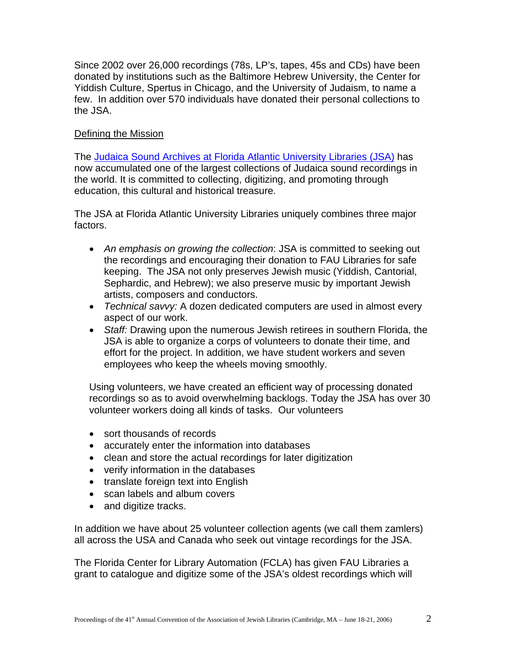Since 2002 over 26,000 recordings (78s, LP's, tapes, 45s and CDs) have been donated by institutions such as the Baltimore Hebrew University, the Center for Yiddish Culture, Spertus in Chicago, and the University of Judaism, to name a few. In addition over 570 individuals have donated their personal collections to the JSA.

## Defining the Mission

The Judaica Sound Archives at Florida Atlantic University Libraries (JSA) has now accumulated one of the largest collections of Judaica sound recordings in the world. It is committed to collecting, digitizing, and promoting through education, this cultural and historical treasure.

The JSA at Florida Atlantic University Libraries uniquely combines three major factors.

- *An emphasis on growing the collection*: JSA is committed to seeking out the recordings and encouraging their donation to FAU Libraries for safe keeping. The JSA not only preserves Jewish music (Yiddish, Cantorial, Sephardic, and Hebrew); we also preserve music by important Jewish artists, composers and conductors.
- *Technical savvy:* A dozen dedicated computers are used in almost every aspect of our work.
- *Staff:* Drawing upon the numerous Jewish retirees in southern Florida, the JSA is able to organize a corps of volunteers to donate their time, and effort for the project. In addition, we have student workers and seven employees who keep the wheels moving smoothly.

Using volunteers, we have created an efficient way of processing donated recordings so as to avoid overwhelming backlogs. Today the JSA has over 30 volunteer workers doing all kinds of tasks. Our volunteers

- sort thousands of records
- accurately enter the information into databases
- clean and store the actual recordings for later digitization
- verify information in the databases
- translate foreign text into English
- scan labels and album covers
- and digitize tracks.

In addition we have about 25 volunteer collection agents (we call them zamlers) all across the USA and Canada who seek out vintage recordings for the JSA.

The Florida Center for Library Automation (FCLA) has given FAU Libraries a grant to catalogue and digitize some of the JSA's oldest recordings which will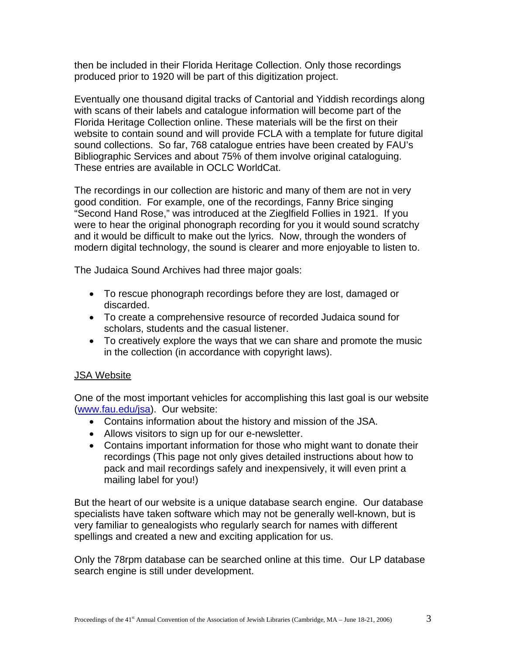then be included in their Florida Heritage Collection. Only those recordings produced prior to 1920 will be part of this digitization project.

Eventually one thousand digital tracks of Cantorial and Yiddish recordings along with scans of their labels and catalogue information will become part of the Florida Heritage Collection online. These materials will be the first on their website to contain sound and will provide FCLA with a template for future digital sound collections. So far, 768 catalogue entries have been created by FAU's Bibliographic Services and about 75% of them involve original cataloguing. These entries are available in OCLC WorldCat.

The recordings in our collection are historic and many of them are not in very good condition. For example, one of the recordings, Fanny Brice singing "Second Hand Rose," was introduced at the Zieglfield Follies in 1921. If you were to hear the original phonograph recording for you it would sound scratchy and it would be difficult to make out the lyrics. Now, through the wonders of modern digital technology, the sound is clearer and more enjoyable to listen to.

The Judaica Sound Archives had three major goals:

- To rescue phonograph recordings before they are lost, damaged or discarded.
- To create a comprehensive resource of recorded Judaica sound for scholars, students and the casual listener.
- To creatively explore the ways that we can share and promote the music in the collection (in accordance with copyright laws).

## JSA Website

One of the most important vehicles for accomplishing this last goal is our website ([www.fau.edu/jsa](http://www.fau.edu/jsa)). Our website:

- Contains information about the history and mission of the JSA.
- Allows visitors to sign up for our e-newsletter.
- Contains important information for those who might want to donate their recordings (This page not only gives detailed instructions about how to pack and mail recordings safely and inexpensively, it will even print a mailing label for you!)

But the heart of our website is a unique database search engine. Our database specialists have taken software which may not be generally well-known, but is very familiar to genealogists who regularly search for names with different spellings and created a new and exciting application for us.

Only the 78rpm database can be searched online at this time. Our LP database search engine is still under development.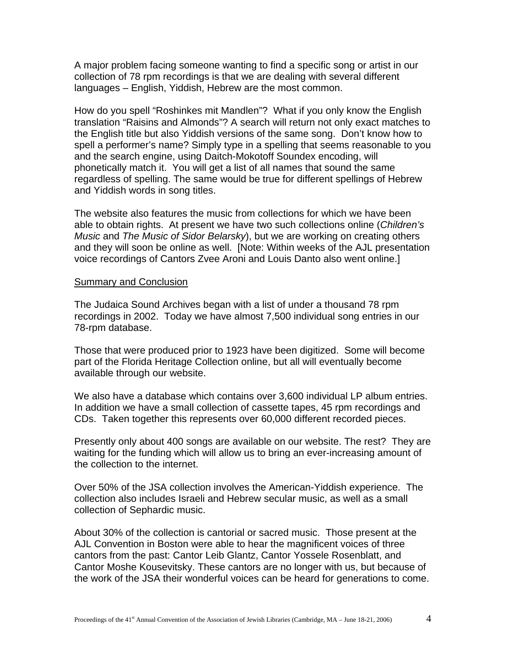A major problem facing someone wanting to find a specific song or artist in our collection of 78 rpm recordings is that we are dealing with several different languages – English, Yiddish, Hebrew are the most common.

How do you spell "Roshinkes mit Mandlen"? What if you only know the English translation "Raisins and Almonds"? A search will return not only exact matches to the English title but also Yiddish versions of the same song. Don't know how to spell a performer's name? Simply type in a spelling that seems reasonable to you and the search engine, using Daitch-Mokotoff Soundex encoding, will phonetically match it. You will get a list of all names that sound the same regardless of spelling. The same would be true for different spellings of Hebrew and Yiddish words in song titles.

The website also features the music from collections for which we have been able to obtain rights. At present we have two such collections online (*Children's Music* and *The Music of Sidor Belarsky*), but we are working on creating others and they will soon be online as well. [Note: Within weeks of the AJL presentation voice recordings of Cantors Zvee Aroni and Louis Danto also went online.]

## Summary and Conclusion

The Judaica Sound Archives began with a list of under a thousand 78 rpm recordings in 2002. Today we have almost 7,500 individual song entries in our 78-rpm database.

Those that were produced prior to 1923 have been digitized. Some will become part of the Florida Heritage Collection online, but all will eventually become available through our website.

We also have a database which contains over 3,600 individual LP album entries. In addition we have a small collection of cassette tapes, 45 rpm recordings and CDs. Taken together this represents over 60,000 different recorded pieces.

Presently only about 400 songs are available on our website. The rest? They are waiting for the funding which will allow us to bring an ever-increasing amount of the collection to the internet.

Over 50% of the JSA collection involves the American-Yiddish experience. The collection also includes Israeli and Hebrew secular music, as well as a small collection of Sephardic music.

About 30% of the collection is cantorial or sacred music. Those present at the AJL Convention in Boston were able to hear the magnificent voices of three cantors from the past: Cantor Leib Glantz, Cantor Yossele Rosenblatt, and Cantor Moshe Kousevitsky. These cantors are no longer with us, but because of the work of the JSA their wonderful voices can be heard for generations to come.